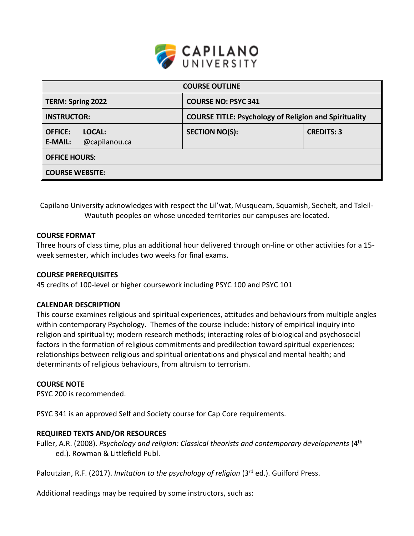

| <b>COURSE OUTLINE</b>                                |                                                              |                   |  |  |  |
|------------------------------------------------------|--------------------------------------------------------------|-------------------|--|--|--|
| <b>TERM: Spring 2022</b>                             | <b>COURSE NO: PSYC 341</b>                                   |                   |  |  |  |
| <b>INSTRUCTOR:</b>                                   | <b>COURSE TITLE: Psychology of Religion and Spirituality</b> |                   |  |  |  |
| <b>OFFICE:</b><br>LOCAL:<br>@capilanou.ca<br>E-MAIL: | <b>SECTION NO(S):</b>                                        | <b>CREDITS: 3</b> |  |  |  |
| <b>OFFICE HOURS:</b>                                 |                                                              |                   |  |  |  |
| <b>COURSE WEBSITE:</b>                               |                                                              |                   |  |  |  |

Capilano University acknowledges with respect the Lil'wat, Musqueam, Squamish, Sechelt, and Tsleil-Waututh peoples on whose unceded territories our campuses are located.

#### **COURSE FORMAT**

Three hours of class time, plus an additional hour delivered through on-line or other activities for a 15 week semester, which includes two weeks for final exams.

#### **COURSE PREREQUISITES**

45 credits of 100-level or higher coursework including PSYC 100 and PSYC 101

#### **CALENDAR DESCRIPTION**

This course examines religious and spiritual experiences, attitudes and behaviours from multiple angles within contemporary Psychology. Themes of the course include: history of empirical inquiry into religion and spirituality; modern research methods; interacting roles of biological and psychosocial factors in the formation of religious commitments and predilection toward spiritual experiences; relationships between religious and spiritual orientations and physical and mental health; and determinants of religious behaviours, from altruism to terrorism.

#### **COURSE NOTE**

PSYC 200 is recommended.

PSYC 341 is an approved Self and Society course for Cap Core requirements.

#### **REQUIRED TEXTS AND/OR RESOURCES**

Fuller, A.R. (2008). *Psychology and religion: Classical theorists and contemporary developments* (4th ed.). Rowman & Littlefield Publ.

Paloutzian, R.F. (2017). *Invitation to the psychology of religion* (3rd ed.). Guilford Press.

Additional readings may be required by some instructors, such as: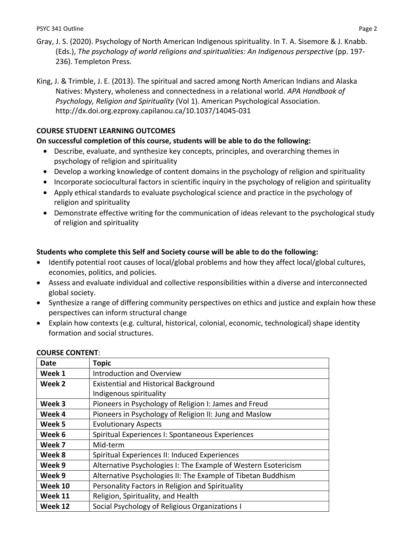- Gray, J. S. (2020). Psychology of North American Indigenous spirituality. In T. A. Sisemore & J. Knabb. (Eds.), *The psychology of world religions and spiritualities: An Indigenous perspective* (pp. 197- 236). Templeton Press.
- King, J. & Trimble, J. E. (2013). The spiritual and sacred among North American Indians and Alaska Natives: Mystery, wholeness and connectedness in a relational world. *APA Handbook of Psychology, Religion and Spirituality* (Vol 1). American Psychological Association. http://dx.doi.org.ezproxy.capilanou.ca[/10.1037/14045-031](http://dx.doi.org.ezproxy.capilanou.ca/10.1037/14045-031)

# **COURSE STUDENT LEARNING OUTCOMES**

# **On successful completion of this course, students will be able to do the following:**

- Describe, evaluate, and synthesize key concepts, principles, and overarching themes in psychology of religion and spirituality
- Develop a working knowledge of content domains in the psychology of religion and spirituality
- Incorporate sociocultural factors in scientific inquiry in the psychology of religion and spirituality
- Apply ethical standards to evaluate psychological science and practice in the psychology of religion and spirituality
- Demonstrate effective writing for the communication of ideas relevant to the psychological study of religion and spirituality

# **Students who complete this Self and Society course will be able to do the following:**

- Identify potential root causes of local/global problems and how they affect local/global cultures, economies, politics, and policies.
- Assess and evaluate individual and collective responsibilities within a diverse and interconnected global society.
- Synthesize a range of differing community perspectives on ethics and justice and explain how these perspectives can inform structural change
- Explain how contexts (e.g. cultural, historical, colonial, economic, technological) shape identity formation and social structures.

| Date    | <b>Topic</b>                                                   |
|---------|----------------------------------------------------------------|
| Week 1  | Introduction and Overview                                      |
| Week 2  | <b>Existential and Historical Background</b>                   |
|         | Indigenous spirituality                                        |
| Week 3  | Pioneers in Psychology of Religion I: James and Freud          |
| Week 4  | Pioneers in Psychology of Religion II: Jung and Maslow         |
| Week 5  | <b>Evolutionary Aspects</b>                                    |
| Week 6  | Spiritual Experiences I: Spontaneous Experiences               |
| Week 7  | Mid-term                                                       |
| Week 8  | Spiritual Experiences II: Induced Experiences                  |
| Week 9  | Alternative Psychologies I: The Example of Western Esotericism |
| Week 9  | Alternative Psychologies II: The Example of Tibetan Buddhism   |
| Week 10 | Personality Factors in Religion and Spirituality               |
| Week 11 | Religion, Spirituality, and Health                             |
| Week 12 | Social Psychology of Religious Organizations I                 |

### **COURSE CONTENT**: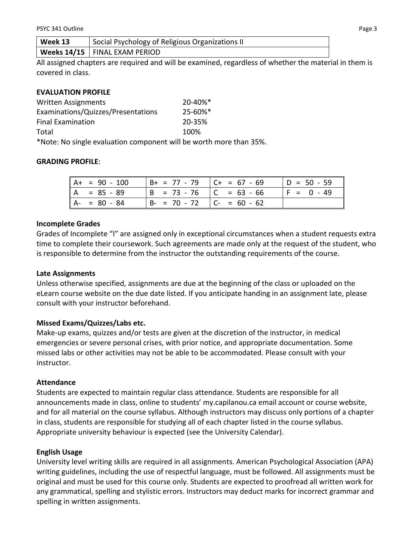All assigned chapters are required and will be examined, regardless of whether the material in them is covered in class.

### **EVALUATION PROFILE**

| <b>Written Assignments</b>         | 20-40%*                  |
|------------------------------------|--------------------------|
| Examinations/Quizzes/Presentations | $25 - 60\%$ <sup>*</sup> |
| <b>Final Examination</b>           | 20-35%                   |
| Total                              | 100%                     |
|                                    |                          |

\*Note: No single evaluation component will be worth more than 35%.

### **GRADING PROFILE**:

| $A+ = 90 - 100$ | $  B+ = 77 - 79   C+ = 67 - 69$   | $ D = 50 - 59 $ |
|-----------------|-----------------------------------|-----------------|
| $A = 85 - 89$   | $ B = 73 - 76$   C = 63 - 66      | $ F = 0 - 49$   |
| $A - 80 - 84$   | $  B - = 70 - 72   C - = 60 - 62$ |                 |

### **Incomplete Grades**

Grades of Incomplete "I" are assigned only in exceptional circumstances when a student requests extra time to complete their coursework. Such agreements are made only at the request of the student, who is responsible to determine from the instructor the outstanding requirements of the course.

### **Late Assignments**

Unless otherwise specified, assignments are due at the beginning of the class or uploaded on the eLearn course website on the due date listed. If you anticipate handing in an assignment late, please consult with your instructor beforehand.

## **Missed Exams/Quizzes/Labs etc.**

Make-up exams, quizzes and/or tests are given at the discretion of the instructor, in medical emergencies or severe personal crises, with prior notice, and appropriate documentation. Some missed labs or other activities may not be able to be accommodated. Please consult with your instructor.

### **Attendance**

Students are expected to maintain regular class attendance. Students are responsible for all announcements made in class, online to students' my.capilanou.ca email account or course website, and for all material on the course syllabus. Although instructors may discuss only portions of a chapter in class, students are responsible for studying all of each chapter listed in the course syllabus. Appropriate university behaviour is expected (see the University Calendar).

### **English Usage**

University level writing skills are required in all assignments. American Psychological Association (APA) writing guidelines, including the use of respectful language, must be followed. All assignments must be original and must be used for this course only. Students are expected to proofread all written work for any grammatical, spelling and stylistic errors. Instructors may deduct marks for incorrect grammar and spelling in written assignments.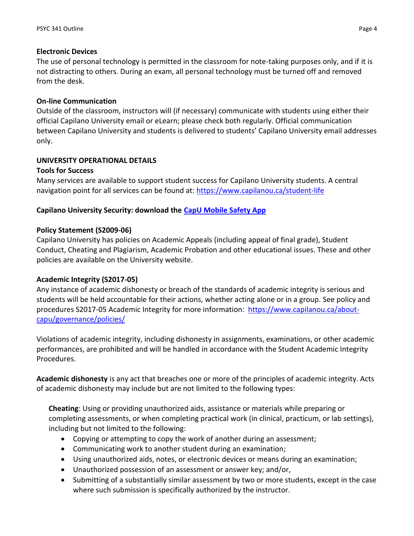### **Electronic Devices**

The use of personal technology is permitted in the classroom for note-taking purposes only, and if it is not distracting to others. During an exam, all personal technology must be turned off and removed from the desk.

## **On-line Communication**

Outside of the classroom, instructors will (if necessary) communicate with students using either their official Capilano University email or eLearn; please check both regularly. Official communication between Capilano University and students is delivered to students' Capilano University email addresses only.

## **UNIVERSITY OPERATIONAL DETAILS**

### **Tools for Success**

Many services are available to support student success for Capilano University students. A central navigation point for all services can be found at:<https://www.capilanou.ca/student-life>

## **Capilano University Security: download the [CapU Mobile Safety App](https://www.capilanou.ca/student-life/support--wellness/safety--security/capu-safe-app/)**

### **Policy Statement (S2009-06)**

Capilano University has policies on Academic Appeals (including appeal of final grade), Student Conduct, Cheating and Plagiarism, Academic Probation and other educational issues. These and other policies are available on the University website.

### **Academic Integrity (S2017-05)**

Any instance of academic dishonesty or breach of the standards of academic integrity is serious and students will be held accountable for their actions, whether acting alone or in a group. See policy and procedures S2017-05 Academic Integrity for more information: [https://www.capilanou.ca/about](https://www.capilanou.ca/about-capu/governance/policies/)[capu/governance/policies/](https://www.capilanou.ca/about-capu/governance/policies/)

Violations of academic integrity, including dishonesty in assignments, examinations, or other academic performances, are prohibited and will be handled in accordance with the Student Academic Integrity Procedures.

**Academic dishonesty** is any act that breaches one or more of the principles of academic integrity. Acts of academic dishonesty may include but are not limited to the following types:

**Cheating**: Using or providing unauthorized aids, assistance or materials while preparing or completing assessments, or when completing practical work (in clinical, practicum, or lab settings), including but not limited to the following:

- Copying or attempting to copy the work of another during an assessment;
- Communicating work to another student during an examination;
- Using unauthorized aids, notes, or electronic devices or means during an examination;
- Unauthorized possession of an assessment or answer key; and/or,
- Submitting of a substantially similar assessment by two or more students, except in the case where such submission is specifically authorized by the instructor.